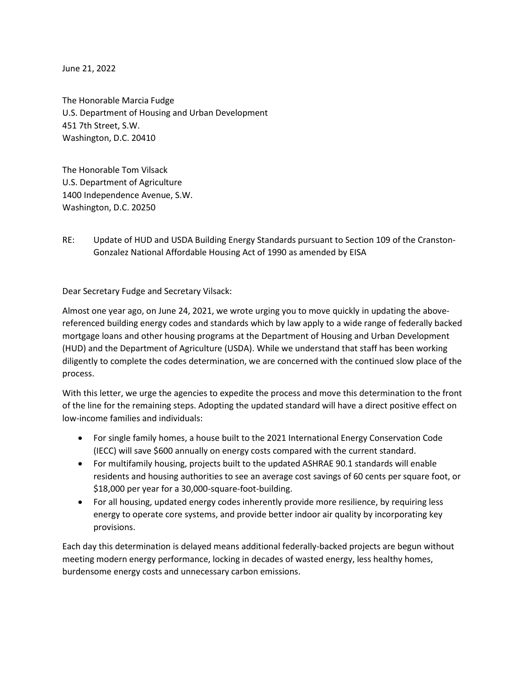June 21, 2022

The Honorable Marcia Fudge U.S. Department of Housing and Urban Development 451 7th Street, S.W. Washington, D.C. 20410

The Honorable Tom Vilsack U.S. Department of Agriculture 1400 Independence Avenue, S.W. Washington, D.C. 20250

RE: Update of HUD and USDA Building Energy Standards pursuant to Section 109 of the Cranston-Gonzalez National Affordable Housing Act of 1990 as amended by EISA

Dear Secretary Fudge and Secretary Vilsack:

Almost one year ago, on June 24, 2021, we wrote urging you to move quickly in updating the abovereferenced building energy codes and standards which by law apply to a wide range of federally backed mortgage loans and other housing programs at the Department of Housing and Urban Development (HUD) and the Department of Agriculture (USDA). While we understand that staff has been working diligently to complete the codes determination, we are concerned with the continued slow place of the process.

With this letter, we urge the agencies to expedite the process and move this determination to the front of the line for the remaining steps. Adopting the updated standard will have a direct positive effect on low-income families and individuals:

- For single family homes, a house built to the 2021 International Energy Conservation Code (IECC) will save \$600 annually on energy costs compared with the current standard.
- For multifamily housing, projects built to the updated ASHRAE 90.1 standards will enable residents and housing authorities to see an average cost savings of 60 cents per square foot, or \$18,000 per year for a 30,000-square-foot-building.
- For all housing, updated energy codes inherently provide more resilience, by requiring less energy to operate core systems, and provide better indoor air quality by incorporating key provisions.

Each day this determination is delayed means additional federally-backed projects are begun without meeting modern energy performance, locking in decades of wasted energy, less healthy homes, burdensome energy costs and unnecessary carbon emissions.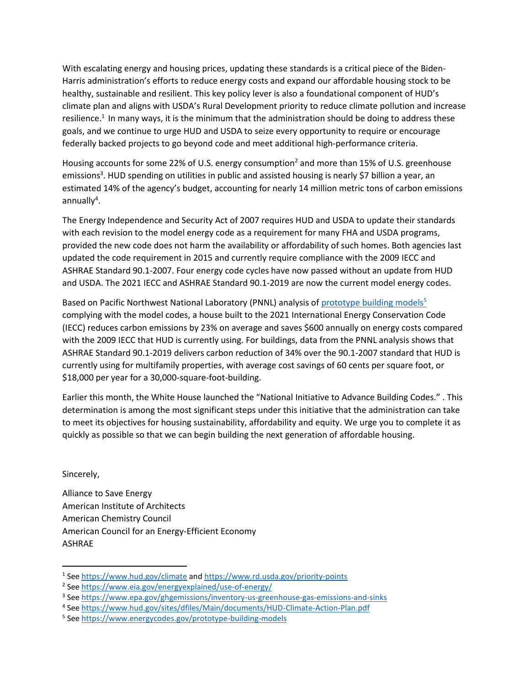With escalating energy and housing prices, updating these standards is a critical piece of the Biden-Harris administration's efforts to reduce energy costs and expand our affordable housing stock to be healthy, sustainable and resilient. This key policy lever is also a foundational component of HUD's climate plan and aligns with USDA's Rural Development priority to reduce climate pollution and increase resilience.<sup>1</sup> In many ways, it is the minimum that the administration should be doing to address these goals, and we continue to urge HUD and USDA to seize every opportunity to require or encourage federally backed projects to go beyond code and meet additional high-performance criteria.

Housing accounts for some 22% of U.S. energy consumption<sup>2</sup> and more than 15% of U.S. greenhouse emissions<sup>3</sup>. HUD spending on utilities in public and assisted housing is nearly \$7 billion a year, an estimated 14% of the agency's budget, accounting for nearly 14 million metric tons of carbon emissions annually<sup>4</sup>.

The Energy Independence and Security Act of 2007 requires HUD and USDA to update their standards with each revision to the model energy code as a requirement for many FHA and USDA programs, provided the new code does not harm the availability or affordability of such homes. Both agencies last updated the code requirement in 2015 and currently require compliance with the 2009 IECC and ASHRAE Standard 90.1-2007. Four energy code cycles have now passed without an update from HUD and USDA. The 2021 IECC and ASHRAE Standard 90.1-2019 are now the current model energy codes.

Based on Pacific Northwest National Laboratory (PNNL) analysis of [prototype building models](https://nam10.safelinks.protection.outlook.com/?url=https%3A%2F%2Fwww.energycodes.gov%2Fprototype-building-models&data=04%7C01%7Cbevans%40usgbc.org%7C63a409617f7b4bf3741c08d96f193489%7C6473bd35a7934476b755d10c6831b239%7C0%7C0%7C637662976492177293%7CUnknown%7CTWFpbGZsb3d8eyJWIjoiMC4wLjAwMDAiLCJQIjoiV2luMzIiLCJBTiI6Ik1haWwiLCJXVCI6Mn0%3D%7C1000&sdata=VMO0ctDOCNLeyCHov4umhNS4GfRo2kBsH3znn4praW4%3D&reserved=0)<sup>5</sup> complying with the model codes, a house built to the 2021 International Energy Conservation Code (IECC) reduces carbon emissions by 23% on average and saves \$600 annually on energy costs compared with the 2009 IECC that HUD is currently using. For buildings, data from the PNNL analysis shows that ASHRAE Standard 90.1-2019 delivers carbon reduction of 34% over the 90.1-2007 standard that HUD is currently using for multifamily properties, with average cost savings of 60 cents per square foot, or \$18,000 per year for a 30,000-square-foot-building.

Earlier this month, the White House launched the "National Initiative to Advance Building Codes." . This determination is among the most significant steps under this initiative that the administration can take to meet its objectives for housing sustainability, affordability and equity. We urge you to complete it as quickly as possible so that we can begin building the next generation of affordable housing.

Sincerely,

Alliance to Save Energy American Institute of Architects American Chemistry Council American Council for an Energy-Efficient Economy ASHRAE

<sup>&</sup>lt;sup>1</sup> See<https://www.hud.gov/climate> and<https://www.rd.usda.gov/priority-points>

<sup>&</sup>lt;sup>2</sup> See<https://www.eia.gov/energyexplained/use-of-energy/>

<sup>&</sup>lt;sup>3</sup> See <u>https://www.epa.gov/ghgemissions/inventory-us-greenhouse-gas-emissions-and-sinks</u>

<sup>&</sup>lt;sup>4</sup> See<https://www.hud.gov/sites/dfiles/Main/documents/HUD-Climate-Action-Plan.pdf>

<sup>&</sup>lt;sup>5</sup> See<https://www.energycodes.gov/prototype-building-models>